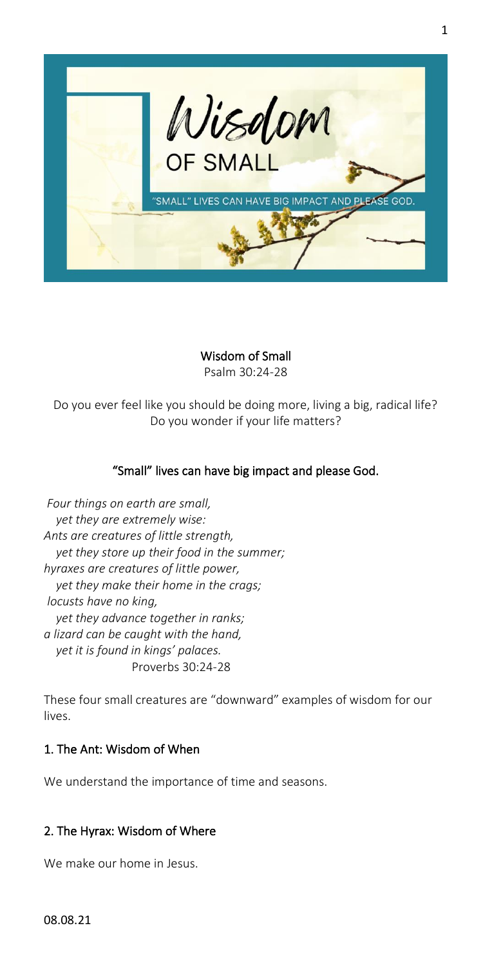

Wisdom of Small Psalm 30:24-28

Do you ever feel like you should be doing more, living a big, radical life? Do you wonder if your life matters?

# "Small" lives can have big impact and please God.

*Four things on earth are small, yet they are extremely wise: Ants are creatures of little strength, yet they store up their food in the summer; hyraxes are creatures of little power, yet they make their home in the crags; locusts have no king, yet they advance together in ranks; a lizard can be caught with the hand, yet it is found in kings' palaces.* Proverbs 30:24-28

These four small creatures are "downward" examples of wisdom for our lives.

## 1. The Ant: Wisdom of When

We understand the importance of time and seasons.

## 2. The Hyrax: Wisdom of Where

We make our home in Jesus.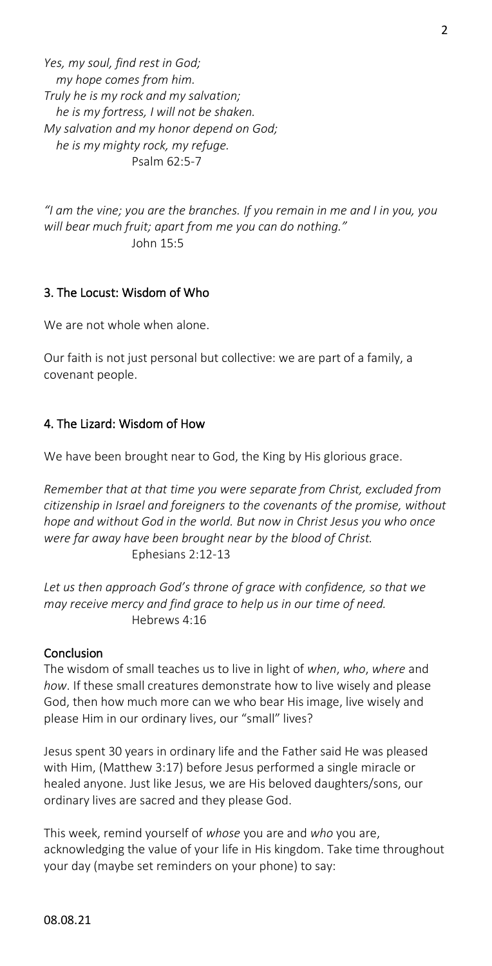*Yes, my soul, find rest in God; my hope comes from him. Truly he is my rock and my salvation; he is my fortress, I will not be shaken. My salvation and my honor depend on God; he is my mighty rock, my refuge.* Psalm 62:5-7

*"I am the vine; you are the branches. If you remain in me and I in you, you will bear much fruit; apart from me you can do nothing."* John 15:5

# 3. The Locust: Wisdom of Who

We are not whole when alone.

Our faith is not just personal but collective: we are part of a family, a covenant people.

## 4. The Lizard: Wisdom of How

We have been brought near to God, the King by His glorious grace.

*Remember that at that time you were separate from Christ, excluded from citizenship in Israel and foreigners to the covenants of the promise, without hope and without God in the world. But now in Christ Jesus you who once were far away have been brought near by the blood of Christ.* Ephesians 2:12-13

*Let us then approach God's throne of grace with confidence, so that we may receive mercy and find grace to help us in our time of need.* Hebrews 4:16

#### Conclusion

The wisdom of small teaches us to live in light of *when*, *who*, *where* and *how*. If these small creatures demonstrate how to live wisely and please God, then how much more can we who bear His image, live wisely and please Him in our ordinary lives, our "small" lives?

Jesus spent 30 years in ordinary life and the Father said He was pleased with Him, (Matthew 3:17) before Jesus performed a single miracle or healed anyone. Just like Jesus, we are His beloved daughters/sons, our ordinary lives are sacred and they please God.

This week, remind yourself of *whose* you are and *who* you are, acknowledging the value of your life in His kingdom. Take time throughout your day (maybe set reminders on your phone) to say: